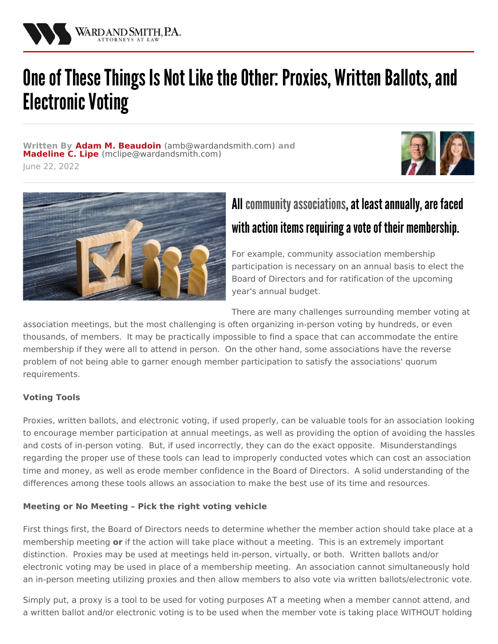

# One of These Things Is Not Like the Other: Proxies, Written Ballots, and **Electronic Voting**

**Written By Adam M. [Beaudoin](/attorneys/adam-beaudoin) (**[amb@wardandsmith.com](mailto:amb@wardandsmith.com)**) and [Madeline](/attorneys/madeline-lipe) C. Lipe (**[mclipe@wardandsmith.com](mailto:mclipe@wardandsmith.com)**)**







# All community associations, at least annually, are faced with action items requiring a vote of their membership.

For example, community association membership participation is necessary on an annual basis to elect the Board of Directors and for ratification of the upcoming year's annual budget.

There are many challenges surrounding member voting at

association meetings, but the most challenging is often organizing in-person voting by hundreds, or even thousands, of members. It may be practically impossible to find a space that can accommodate the entire membership if they were all to attend in person. On the other hand, some associations have the reverse problem of not being able to garner enough member participation to satisfy the associations' quorum requirements.

## **Voting Tools**

Proxies, written ballots, and electronic voting, if used properly, can be valuable tools for an association looking to encourage member participation at annual meetings, as well as providing the option of avoiding the hassles and costs of in-person voting. But, if used incorrectly, they can do the exact opposite. Misunderstandings regarding the proper use of these tools can lead to improperly conducted votes which can cost an association time and money, as well as erode member confidence in the Board of Directors. A solid understanding of the differences among these tools allows an association to make the best use of its time and resources.

## **Meeting or No Meeting – Pick the right voting vehicle**

First things first, the Board of Directors needs to determine whether the member action should take place at a membership meeting **or** if the action will take place without a meeting. This is an extremely important distinction. Proxies may be used at meetings held in-person, virtually, or both. Written ballots and/or electronic voting may be used in place of a membership meeting. An association cannot simultaneously hold an in-person meeting utilizing proxies and then allow members to also vote via written ballots/electronic vote.

Simply put, a proxy is a tool to be used for voting purposes AT a meeting when a member cannot attend, and a written ballot and/or electronic voting is to be used when the member vote is taking place WITHOUT holding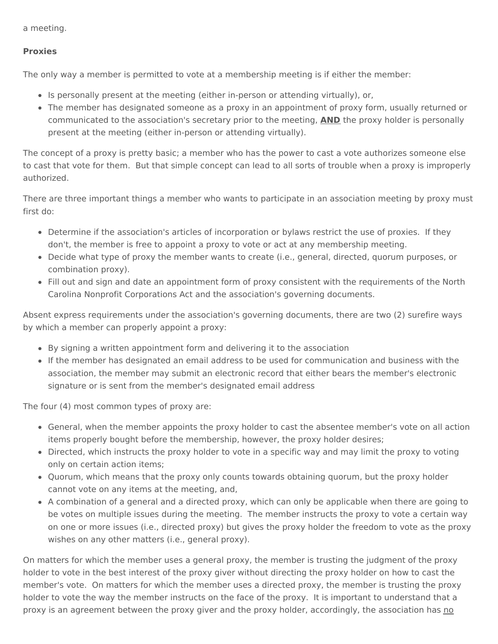a meeting.

#### **Proxies**

The only way a member is permitted to vote at a membership meeting is if either the member:

- Is personally present at the meeting (either in-person or attending virtually), or,
- The member has designated someone as a proxy in an appointment of proxy form, usually returned or communicated to the association's secretary prior to the meeting, **AND** the proxy holder is personally present at the meeting (either in-person or attending virtually).

The concept of a proxy is pretty basic; a member who has the power to cast a vote authorizes someone else to cast that vote for them. But that simple concept can lead to all sorts of trouble when a proxy is improperly authorized.

There are three important things a member who wants to participate in an association meeting by proxy must first do:

- Determine if the association's articles of incorporation or bylaws restrict the use of proxies. If they don't, the member is free to appoint a proxy to vote or act at any membership meeting.
- Decide what type of proxy the member wants to create (i.e., general, directed, quorum purposes, or combination proxy).
- Fill out and sign and date an appointment form of proxy consistent with the requirements of the North Carolina Nonprofit Corporations Act and the association's governing documents.

Absent express requirements under the association's governing documents, there are two (2) surefire ways by which a member can properly appoint a proxy:

- By signing a written appointment form and delivering it to the association
- If the member has designated an email address to be used for communication and business with the association, the member may submit an electronic record that either bears the member's electronic signature or is sent from the member's designated email address

The four (4) most common types of proxy are:

- General, when the member appoints the proxy holder to cast the absentee member's vote on all action items properly bought before the membership, however, the proxy holder desires;
- Directed, which instructs the proxy holder to vote in a specific way and may limit the proxy to voting only on certain action items;
- Quorum, which means that the proxy only counts towards obtaining quorum, but the proxy holder cannot vote on any items at the meeting, and,
- A combination of a general and a directed proxy, which can only be applicable when there are going to be votes on multiple issues during the meeting. The member instructs the proxy to vote a certain way on one or more issues (i.e., directed proxy) but gives the proxy holder the freedom to vote as the proxy wishes on any other matters (i.e., general proxy).

On matters for which the member uses a general proxy, the member is trusting the judgment of the proxy holder to vote in the best interest of the proxy giver without directing the proxy holder on how to cast the member's vote. On matters for which the member uses a directed proxy, the member is trusting the proxy holder to vote the way the member instructs on the face of the proxy. It is important to understand that a proxy is an agreement between the proxy giver and the proxy holder, accordingly, the association has no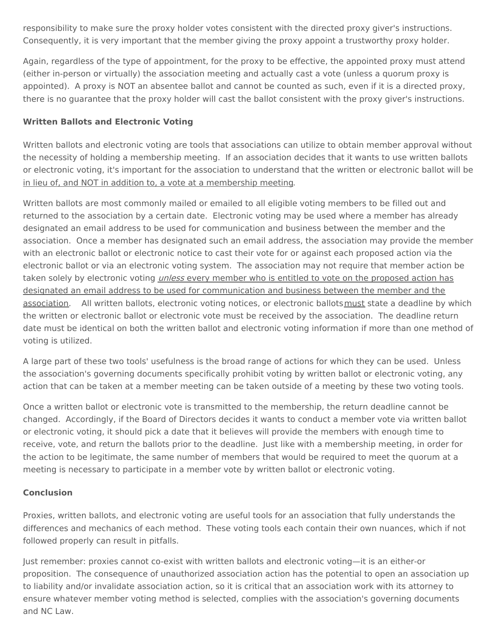responsibility to make sure the proxy holder votes consistent with the directed proxy giver's instructions. Consequently, it is very important that the member giving the proxy appoint a trustworthy proxy holder.

Again, regardless of the type of appointment, for the proxy to be effective, the appointed proxy must attend (either in-person or virtually) the association meeting and actually cast a vote (unless a quorum proxy is appointed). A proxy is NOT an absentee ballot and cannot be counted as such, even if it is a directed proxy, there is no guarantee that the proxy holder will cast the ballot consistent with the proxy giver's instructions.

## **Written Ballots and Electronic Voting**

Written ballots and electronic voting are tools that associations can utilize to obtain member approval without the necessity of holding a membership meeting. If an association decides that it wants to use written ballots or electronic voting, it's important for the association to understand that the written or electronic ballot will be in lieu of, and NOT in addition to, a vote at a membership meeting.

Written ballots are most commonly mailed or emailed to all eligible voting members to be filled out and returned to the association by a certain date. Electronic voting may be used where a member has already designated an email address to be used for communication and business between the member and the association. Once a member has designated such an email address, the association may provide the member with an electronic ballot or electronic notice to cast their vote for or against each proposed action via the electronic ballot or via an electronic voting system. The association may not require that member action be taken solely by electronic voting *unless* every member who is entitled to vote on the proposed action has designated an email address to be used for communication and business between the member and the association. All written ballots, electronic voting notices, or electronic ballotsmust state a deadline by which the written or electronic ballot or electronic vote must be received by the association. The deadline return date must be identical on both the written ballot and electronic voting information if more than one method of voting is utilized.

A large part of these two tools' usefulness is the broad range of actions for which they can be used. Unless the association's governing documents specifically prohibit voting by written ballot or electronic voting, any action that can be taken at a member meeting can be taken outside of a meeting by these two voting tools.

Once a written ballot or electronic vote is transmitted to the membership, the return deadline cannot be changed. Accordingly, if the Board of Directors decides it wants to conduct a member vote via written ballot or electronic voting, it should pick a date that it believes will provide the members with enough time to receive, vote, and return the ballots prior to the deadline. Just like with a membership meeting, in order for the action to be legitimate, the same number of members that would be required to meet the quorum at a meeting is necessary to participate in a member vote by written ballot or electronic voting.

#### **Conclusion**

Proxies, written ballots, and electronic voting are useful tools for an association that fully understands the differences and mechanics of each method. These voting tools each contain their own nuances, which if not followed properly can result in pitfalls.

Just remember: proxies cannot co-exist with written ballots and electronic voting—it is an either-or proposition. The consequence of unauthorized association action has the potential to open an association up to liability and/or invalidate association action, so it is critical that an association work with its attorney to ensure whatever member voting method is selected, complies with the association's governing documents and NC Law.